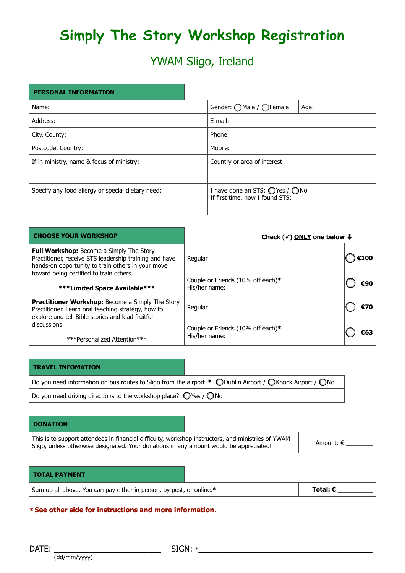# **Simply The Story Workshop Registration**

### YWAM Sligo, Ireland

## **PERSONAL INFORMATION** Name: Gender: ○ Male / ○ Female Age: Address:  $\vert$  E-mail: City, County: Phone: Postcode, Country: Nobile: Nobile: Nobile: Nobile: Nobile: Nobile: Nobile: Nobile: Nobile: Nobile: Nobile: Nobile: Nobile: Nobile: Nobile: Nobile: Nobile: Nobile: Nobile: Nobile: Nobile: Nobile: Nobile: Nobile: Nobile: Nob If in ministry, name & focus of ministry: Country or area of interest: Specify any food allergy or special dietary need:  $\vert$  I have done an STS:  $\bigcirc$  Yes /  $\bigcirc$  No If first time, how I found STS:

| <b>CHOOSE YOUR WORKSHOP</b>                                                                                                                                                                                                         | Check ( $\checkmark$ ) ONLY one below $\bigstar$   |     |
|-------------------------------------------------------------------------------------------------------------------------------------------------------------------------------------------------------------------------------------|----------------------------------------------------|-----|
| Full Workshop: Become a Simply The Story<br>Practitioner, receive STS leadership training and have<br>hands-on opportunity to train others in your move<br>toward being certified to train others.<br>***Limited Space Available*** | Regular                                            |     |
|                                                                                                                                                                                                                                     | Couple or Friends (10% off each)*<br>His/her name: | €90 |
| Practitioner Workshop: Become a Simply The Story<br>Practitioner. Learn oral teaching strategy, how to<br>explore and tell Bible stories and lead fruitful<br>discussions.<br>***Personalized Attention***                          | Regular                                            | €70 |
|                                                                                                                                                                                                                                     | Couple or Friends (10% off each)*<br>His/her name: | €63 |

| <b>TRAVEL INFOMATION</b>                                                                                                               |  |  |  |  |
|----------------------------------------------------------------------------------------------------------------------------------------|--|--|--|--|
| Do you need information on bus routes to Sligo from the airport?* $\bigcirc$ Dublin Airport / $\bigcirc$ Knock Airport / $\bigcirc$ No |  |  |  |  |
| Do you need driving directions to the workshop place? $\bigcirc$ Yes / $\bigcirc$ No                                                   |  |  |  |  |

| <b>DONATION</b>                                                                                                                                                                              |  |           |
|----------------------------------------------------------------------------------------------------------------------------------------------------------------------------------------------|--|-----------|
| This is to support attendees in financial difficulty, workshop instructors, and ministries of YWAM<br>Sligo, unless otherwise designated. Your donations in any amount would be appreciated! |  | Amount: € |

#### **TOTAL PAYMENT**

| Sum up all above. You can pay either in person, by post, or online.* | Total: € |
|----------------------------------------------------------------------|----------|
|----------------------------------------------------------------------|----------|

#### **\* See other side for instructions and more information.**